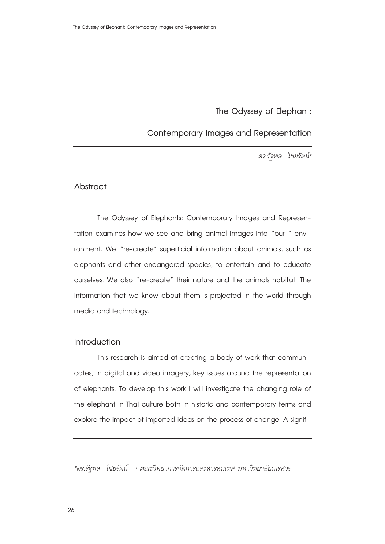# **The Odyssey of Elephant:**

# **Contemporary Images and Representation**

*ดร.รัฐพล ไชยรัตน์\**

### **Abstract**

The Odyssey of Elephants: Contemporary Images and Representation examines how we see and bring animal images into "our " environment. We "re-create" superficial information about animals, such as elephants and other endangered species, to entertain and to educate ourselves. We also "re-create" their nature and the animals habitat. The information that we know about them is projected in the world through media and technology.

#### **Introduction**

 This research is aimed at creating a body of work that communicates, in digital and video imagery, key issues around the representation of elephants. To develop this work I will investigate the changing role of the elephant in Thai culture both in historic and contemporary terms and explore the impact of imported ideas on the process of change. A signifi-

*\*ดร.รัฐพล ไชยรัตน์ : คณะวิทยาการจัดการและสารสนเทศ มหาวิทยาลัยนเรศวร*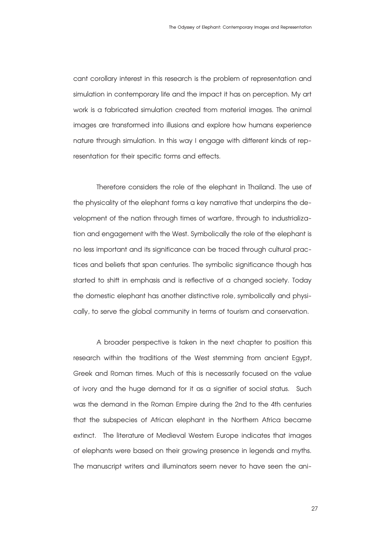cant corollary interest in this research is the problem of representation and simulation in contemporary life and the impact it has on perception. My art work is a fabricated simulation created from material images. The animal images are transformed into illusions and explore how humans experience nature through simulation. In this way I engage with different kinds of representation for their specific forms and effects.

 Therefore considers the role of the elephant in Thailand. The use of the physicality of the elephant forms a key narrative that underpins the development of the nation through times of warfare, through to industrialization and engagement with the West. Symbolically the role of the elephant is no less important and its significance can be traced through cultural practices and beliefs that span centuries. The symbolic significance though has started to shift in emphasis and is reflective of a changed society. Today the domestic elephant has another distinctive role, symbolically and physically, to serve the global community in terms of tourism and conservation.

 A broader perspective is taken in the next chapter to position this research within the traditions of the West stemming from ancient Egypt, Greek and Roman times. Much of this is necessarily focused on the value of ivory and the huge demand for it as a signifier of social status. Such was the demand in the Roman Empire during the 2nd to the 4th centuries that the subspecies of African elephant in the Northern Africa became extinct. The literature of Medieval Western Europe indicates that images of elephants were based on their growing presence in legends and myths. The manuscript writers and illuminators seem never to have seen the ani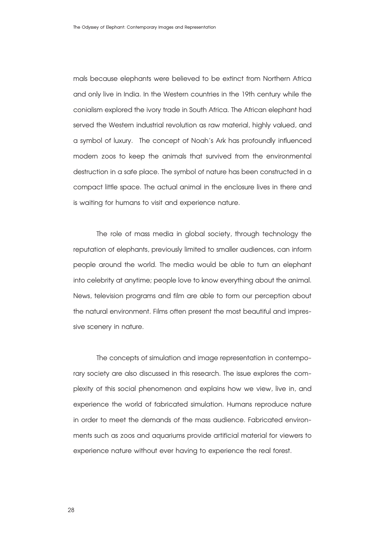mals because elephants were believed to be extinct from Northern Africa and only live in India. In the Western countries in the 19th century while the conialism explored the ivory trade in South Africa. The African elephant had served the Western industrial revolution as raw material, highly valued, and a symbol of luxury. The concept of Noah's Ark has profoundly influenced modern zoos to keep the animals that survived from the environmental destruction in a safe place. The symbol of nature has been constructed in a compact little space. The actual animal in the enclosure lives in there and is waiting for humans to visit and experience nature.

 The role of mass media in global society, through technology the reputation of elephants, previously limited to smaller audiences, can inform people around the world. The media would be able to turn an elephant into celebrity at anytime; people love to know everything about the animal. News, television programs and film are able to form our perception about the natural environment. Films often present the most beautiful and impressive scenery in nature.

The concepts of simulation and image representation in contemporary society are also discussed in this research. The issue explores the complexity of this social phenomenon and explains how we view, live in, and experience the world of fabricated simulation. Humans reproduce nature in order to meet the demands of the mass audience. Fabricated environments such as zoos and aquariums provide artificial material for viewers to experience nature without ever having to experience the real forest.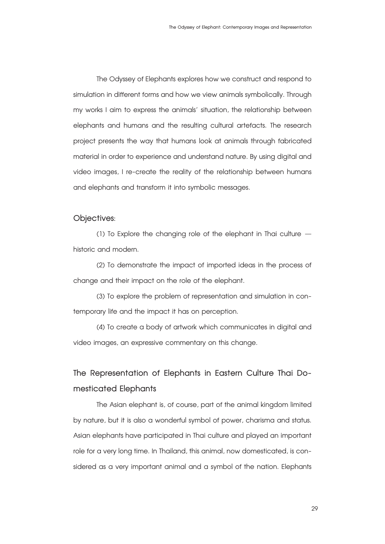The Odyssey of Elephants explores how we construct and respond to simulation in different forms and how we view animals symbolically. Through my works I aim to express the animals' situation, the relationship between elephants and humans and the resulting cultural artefacts. The research project presents the way that humans look at animals through fabricated material in order to experience and understand nature. By using digital and video images, I re-create the reality of the relationship between humans and elephants and transform it into symbolic messages.

#### **Objectives:**

 (1) To Explore the changing role of the elephant in Thai culture – historic and modern.

 (2) To demonstrate the impact of imported ideas in the process of change and their impact on the role of the elephant.

 (3) To explore the problem of representation and simulation in contemporary life and the impact it has on perception.

 (4) To create a body of artwork which communicates in digital and video images, an expressive commentary on this change.

# **The Representation of Elephants in Eastern Culture Thai Domesticated Elephants**

The Asian elephant is, of course, part of the animal kingdom limited by nature, but it is also a wonderful symbol of power, charisma and status. Asian elephants have participated in Thai culture and played an important role for a very long time. In Thailand, this animal, now domesticated, is considered as a very important animal and a symbol of the nation. Elephants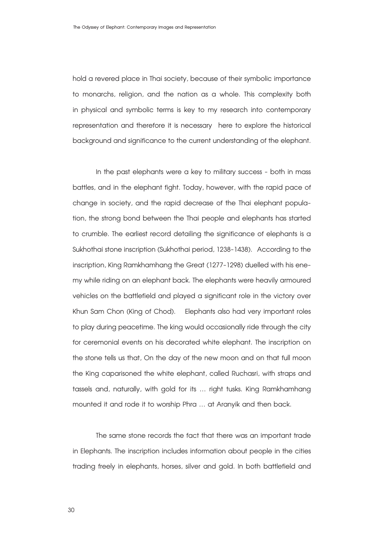hold a revered place in Thai society, because of their symbolic importance to monarchs, religion, and the nation as a whole. This complexity both in physical and symbolic terms is key to my research into contemporary representation and therefore it is necessary here to explore the historical background and significance to the current understanding of the elephant.

 In the past elephants were a key to military success - both in mass battles, and in the elephant fight. Today, however, with the rapid pace of change in society, and the rapid decrease of the Thai elephant population, the strong bond between the Thai people and elephants has started to crumble. The earliest record detailing the significance of elephants is a Sukhothai stone inscription (Sukhothai period, 1238-1438). According to the inscription, King Ramkhamhang the Great (1277-1298) duelled with his enemy while riding on an elephant back. The elephants were heavily armoured vehicles on the battlefield and played a significant role in the victory over Khun Sam Chon (King of Chod). Elephants also had very important roles to play during peacetime. The king would occasionally ride through the city for ceremonial events on his decorated white elephant. The inscription on the stone tells us that, On the day of the new moon and on that full moon the King caparisoned the white elephant, called Ruchasri, with straps and tassels and, naturally, with gold for its ... right tusks. King Ramkhamhang mounted it and rode it to worship Phra ... at Aranyik and then back.

The same stone records the fact that there was an important trade in Elephants. The inscription includes information about people in the cities trading freely in elephants, horses, silver and gold. In both battlefield and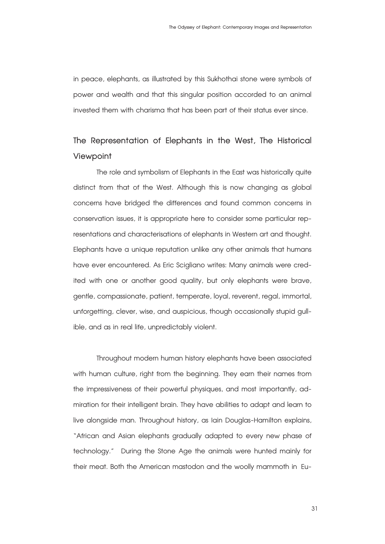in peace, elephants, as illustrated by this Sukhothai stone were symbols of power and wealth and that this singular position accorded to an animal invested them with charisma that has been part of their status ever since.

# **The Representation of Elephants in the West, The Historical Viewpoint**

The role and symbolism of Elephants in the East was historically quite distinct from that of the West. Although this is now changing as global concerns have bridged the differences and found common concerns in conservation issues, it is appropriate here to consider some particular representations and characterisations of elephants in Western art and thought. Elephants have a unique reputation unlike any other animals that humans have ever encountered. As Eric Scigliano writes: Many animals were credited with one or another good quality, but only elephants were brave, gentle, compassionate, patient, temperate, loyal, reverent, regal, immortal, unforgetting, clever, wise, and auspicious, though occasionally stupid gullible, and as in real life, unpredictably violent.

 Throughout modern human history elephants have been associated with human culture, right from the beginning. They earn their names from the impressiveness of their powerful physiques, and most importantly, admiration for their intelligent brain. They have abilities to adapt and learn to live alongside man. Throughout history, as Iain Douglas-Hamilton explains, "African and Asian elephants gradually adapted to every new phase of technology." During the Stone Age the animals were hunted mainly for their meat. Both the American mastodon and the woolly mammoth in  Eu-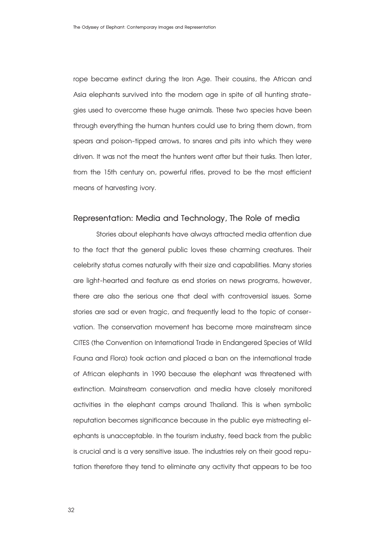rope became extinct during the Iron Age. Their cousins, the African and Asia elephants survived into the modern age in spite of all hunting strategies used to overcome these huge animals. These two species have been through everything the human hunters could use to bring them down, from spears and poison-tipped arrows, to snares and pits into which they were driven. It was not the meat the hunters went after but their tusks. Then later, from the 15th century on, powerful rifles, proved to be the most efficient means of harvesting ivory.

#### **Representation: Media and Technology, The Role of media**

Stories about elephants have always attracted media attention due to the fact that the general public loves these charming creatures. Their celebrity status comes naturally with their size and capabilities. Many stories are light-hearted and feature as end stories on news programs, however, there are also the serious one that deal with controversial issues. Some stories are sad or even tragic, and frequently lead to the topic of conservation. The conservation movement has become more mainstream since CITES (the Convention on International Trade in Endangered Species of Wild Fauna and Flora) took action and placed a ban on the international trade of African elephants in 1990 because the elephant was threatened with extinction. Mainstream conservation and media have closely monitored activities in the elephant camps around Thailand. This is when symbolic reputation becomes significance because in the public eye mistreating elephants is unacceptable. In the tourism industry, feed back from the public is crucial and is a very sensitive issue. The industries rely on their good reputation therefore they tend to eliminate any activity that appears to be too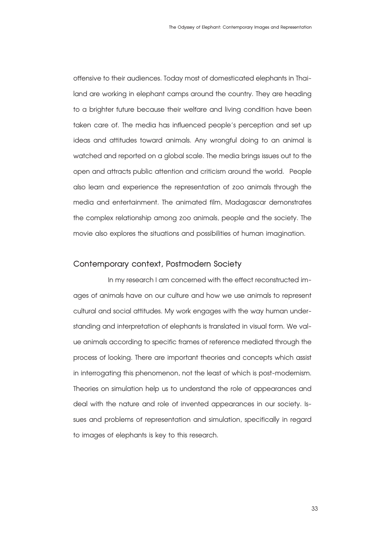offensive to their audiences. Today most of domesticated elephants in Thailand are working in elephant camps around the country. They are heading to a brighter future because their welfare and living condition have been taken care of. The media has influenced people's perception and set up ideas and attitudes toward animals. Any wrongful doing to an animal is watched and reported on a global scale. The media brings issues out to the open and attracts public attention and criticism around the world. People also learn and experience the representation of zoo animals through the media and entertainment. The animated film, Madagascar demonstrates the complex relationship among zoo animals, people and the society. The movie also explores the situations and possibilities of human imagination.

#### **Contemporary context, Postmodern Society**

 In my research I am concerned with the effect reconstructed images of animals have on our culture and how we use animals to represent cultural and social attitudes. My work engages with the way human understanding and interpretation of elephants is translated in visual form. We value animals according to specific frames of reference mediated through the process of looking. There are important theories and concepts which assist in interrogating this phenomenon, not the least of which is post-modernism. Theories on simulation help us to understand the role of appearances and deal with the nature and role of invented appearances in our society. Issues and problems of representation and simulation, specifically in regard to images of elephants is key to this research.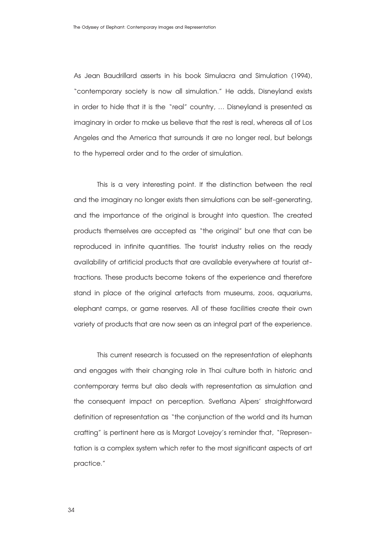As Jean Baudrillard asserts in his book Simulacra and Simulation (1994), "contemporary society is now all simulation." He adds, Disneyland exists in order to hide that it is the "real" country, … Disneyland is presented as imaginary in order to make us believe that the rest is real, whereas all of Los Angeles and the America that surrounds it are no longer real, but belongs to the hyperreal order and to the order of simulation.

 This is a very interesting point. If the distinction between the real and the imaginary no longer exists then simulations can be self-generating, and the importance of the original is brought into question. The created products themselves are accepted as "the original" but one that can be reproduced in infinite quantities. The tourist industry relies on the ready availability of artificial products that are available everywhere at tourist attractions. These products become tokens of the experience and therefore stand in place of the original artefacts from museums, zoos, aquariums, elephant camps, or game reserves. All of these facilities create their own variety of products that are now seen as an integral part of the experience.

This current research is focussed on the representation of elephants and engages with their changing role in Thai culture both in historic and contemporary terms but also deals with representation as simulation and the consequent impact on perception. Svetlana Alpers' straightforward definition of representation as "the conjunction of the world and its human crafting" is pertinent here as is Margot Lovejoy's reminder that, "Representation is a complex system which refer to the most significant aspects of art practice."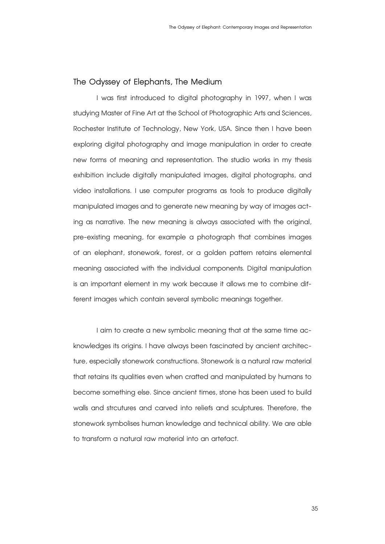# **The Odyssey of Elephants, The Medium**

I was first introduced to digital photography in 1997, when I was studying Master of Fine Art at the School of Photographic Arts and Sciences, Rochester Institute of Technology, New York, USA. Since then I have been exploring digital photography and image manipulation in order to create new forms of meaning and representation. The studio works in my thesis exhibition include digitally manipulated images, digital photographs, and video installations. I use computer programs as tools to produce digitally manipulated images and to generate new meaning by way of images acting as narrative. The new meaning is always associated with the original, pre-existing meaning, for example a photograph that combines images of an elephant, stonework, forest, or a golden pattern retains elemental meaning associated with the individual components. Digital manipulation is an important element in my work because it allows me to combine different images which contain several symbolic meanings together.

I aim to create a new symbolic meaning that at the same time acknowledges its origins. I have always been fascinated by ancient architecture, especially stonework constructions. Stonework is a natural raw material that retains its qualities even when crafted and manipulated by humans to become something else. Since ancient times, stone has been used to build walls and strcutures and carved into reliefs and sculptures. Therefore, the stonework symbolises human knowledge and technical ability. We are able to transform a natural raw material into an artefact.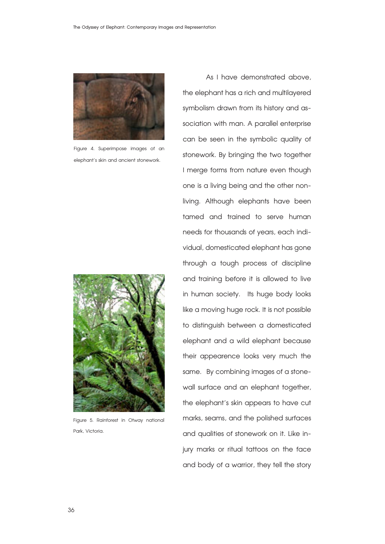

Figure 4. Superimpose images of an elephant's skin and ancient stonework.



Figure 5. Rainforest in Otway national Park, Victoria.

 As I have demonstrated above, the elephant has a rich and multilayered symbolism drawn from its history and association with man. A parallel enterprise can be seen in the symbolic quality of stonework. By bringing the two together I merge forms from nature even though one is a living being and the other nonliving. Although elephants have been tamed and trained to serve human needs for thousands of years, each individual, domesticated elephant has gone through a tough process of discipline and training before it is allowed to live in human society. Its huge body looks like a moving huge rock. It is not possible to distinguish between a domesticated elephant and a wild elephant because their appearence looks very much the same. By combining images of a stonewall surface and an elephant together, the elephant's skin appears to have cut marks, seams, and the polished surfaces and qualities of stonework on it. Like injury marks or ritual tattoos on the face and body of a warrior, they tell the story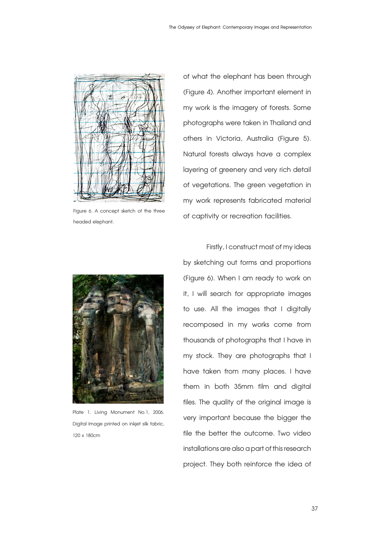

Figure 6. A concept sketch of the three headed elephant.

Plate 1. Living Monument No.1, 2006. Digital Image printed on inkjet silk fabric, 120 x 180cm

of what the elephant has been through (Figure 4).Another important element in my work is the imagery of forests. Some photographs were taken in Thailand and others in Victoria, Australia (Figure 5). Natural forests always have a complex layering of greenery and very rich detail of vegetations. The green vegetation in my work represents fabricated material of captivity or recreation facilities.

Firstly, I construct most of my ideas by sketching out forms and proportions (Figure 6). When I am ready to work on it, I will search for appropriate images to use. All the images that I digitally recomposed in my works come from thousands of photographs that I have in my stock. They are photographs that I have taken from many places. I have them in both 35mm film and digital files. The quality of the original image is very important because the bigger the file the better the outcome. Two video installations are also a part of this research project. They both reinforce the idea of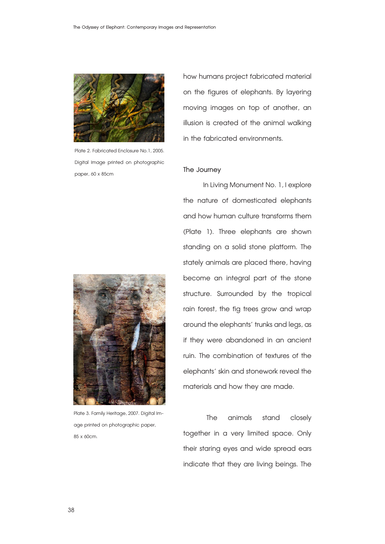

Plate 2. Fabricated Enclosure No.1, 2005. Digital Image printed on photographic paper, 60 x 85cm



Plate 3. Family Heritage, 2007. Digital Image printed on photographic paper, 85 x 60cm.

how humans project fabricated material on the figures of elephants. By layering moving images on top of another, an illusion is created of the animal walking in the fabricated environments.

#### **The Journey**

In Living Monument No. 1, I explore the nature of domesticated elephants and how human culture transforms them (Plate 1). Three elephants are shown standing on a solid stone platform. The stately animals are placed there, having become an integral part of the stone structure. Surrounded by the tropical rain forest, the fig trees grow and wrap around the elephants' trunks and legs, as if they were abandoned in an ancient ruin. The combination of textures of the elephants' skin and stonework reveal the materials and how they are made.

The animals stand closely together in a very limited space. Only their staring eyes and wide spread ears indicate that they are living beings. The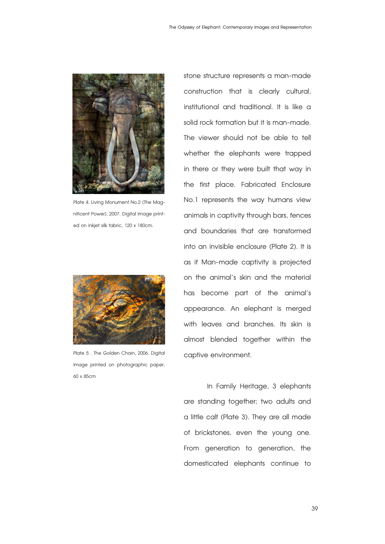

Plate 4. Living Monument No.2 (The Magnificent Power), 2007. Digital Image printed on inkjet silk fabric, 120 x 180cm.



Plate 5 . The Golden Chain, 2006. Digital Image printed on photographic paper, 60 x 85cm

stone structure represents a man-made construction that is clearly cultural, institutional and traditional. It is like a solid rock formation but it is man-made. The viewer should not be able to tell whether the elephants were trapped in there or they were built that way in the first place. Fabricated Enclosure No.1 represents the way humans view animals in captivity through bars, fences and boundaries that are transformed into an invisible enclosure (Plate 2). It is as if Man-made captivity is projected on the animal's skin and the material has become part of the animal's appearance. An elephant is merged with leaves and branches. Its skin is almost blended together within the captive environment.

 In Family Heritage, 3 elephants are standing together; two adults and a little calf (Plate 3). They are all made of brickstones, even the young one. From generation to generation, the domesticated elephants continue to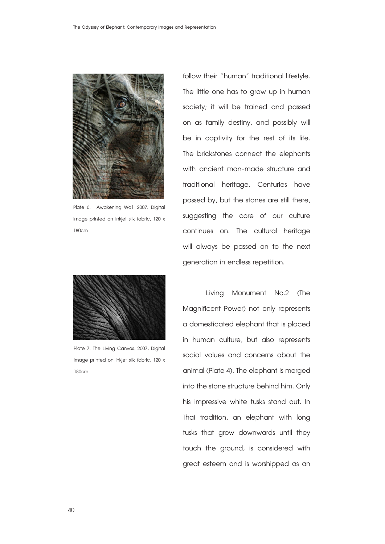

Plate 6. Awakening Wall, 2007. Digital Image printed on inkjet silk fabric, 120 x 180cm



Plate 7. The Living Canvas, 2007, Digital Image printed on inkjet silk fabric, 120 x 180cm.

follow their "human" traditional lifestyle. The little one has to grow up in human society; it will be trained and passed on as family destiny, and possibly will be in captivity for the rest of its life. The brickstones connect the elephants with ancient man-made structure and traditional heritage. Centuries have passed by, but the stones are still there, suggesting the core of our culture continues on. The cultural heritage will always be passed on to the next generation in endless repetition.

 Living Monument No.2 (The Magnificent Power) not only represents a domesticated elephant that is placed in human culture, but also represents social values and concerns about the animal (Plate 4). The elephant is merged into the stone structure behind him. Only his impressive white tusks stand out. In Thai tradition, an elephant with long tusks that grow downwards until they touch the ground, is considered with great esteem and is worshipped as an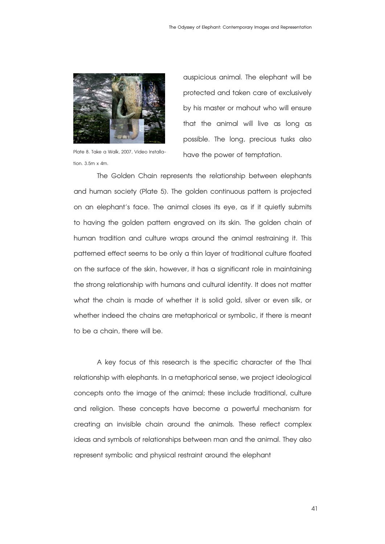

tion.  $3.5m \times 4m$ .

auspicious animal. The elephant will be protected and taken care of exclusively by his master or mahout who will ensure that the animal will live as long as possible. The long, precious tusks also Plate 8. Take a Walk, 2007, Video Installa-<br>have the power of temptation.

 The Golden Chain represents the relationship between elephants and human society (Plate 5). The golden continuous pattern is projected on an elephant's face. The animal closes its eye, as if it quietly submits to having the golden pattern engraved on its skin. The golden chain of human tradition and culture wraps around the animal restraining it. This patterned effect seems to be only a thin layer of traditional culture floated on the surface of the skin, however, it has a significant role in maintaining the strong relationship with humans and cultural identity. It does not matter what the chain is made of whether it is solid gold, silver or even silk, or whether indeed the chains are metaphorical or symbolic, if there is meant to be a chain, there will be.

 A key focus of this research is the specific character of the Thai relationship with elephants. In a metaphorical sense, we project ideological concepts onto the image of the animal; these include traditional, culture and religion. These concepts have become a powerful mechanism for creating an invisible chain around the animals. These reflect complex ideas and symbols of relationships between man and the animal. They also represent symbolic and physical restraint around the elephant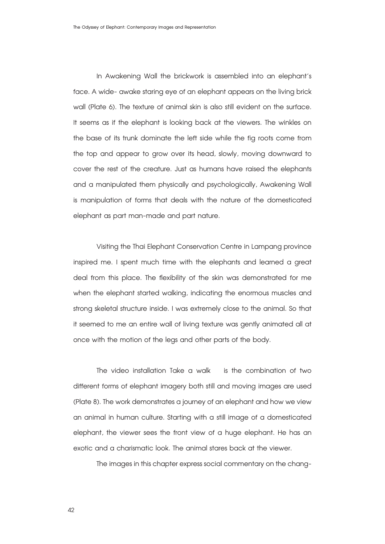In Awakening Wall the brickwork is assembled into an elephant's face. A wide-awake staring eye of an elephant appears on the living brick wall (Plate 6). The texture of animal skin is also still evident on the surface. It seems as if the elephant is looking back at the viewers. The winkles on the base of its trunk dominate the left side while the fig roots come from the top and appear to grow over its head, slowly, moving downward to cover the rest of the creature. Just as humans have raised the elephants and a manipulated them physically and psychologically, Awakening Wall is manipulation of forms that deals with the nature of the domesticated elephant as part man-made and part nature.

Visiting the Thai Elephant Conservation Centre in Lampang province inspired me. I spent much time with the elephants and learned a great deal from this place. The flexibility of the skin was demonstrated for me when the elephant started walking, indicating the enormous muscles and strong skeletal structure inside. I was extremely close to the animal. So that it seemed to me an entire wall of living texture was gently animated all at once with the motion of the legs and other parts of the body.

The video installation Take a walk is the combination of two different forms of elephant imagery both still and moving images are used (Plate 8). The work demonstrates a journey of an elephant and how we view an animal in human culture. Starting with a still image of a domesticated elephant, the viewer sees the front view of a huge elephant. He has an exotic and a charismatic look. The animal stares back at the viewer.

The images in this chapter express social commentary on the chang-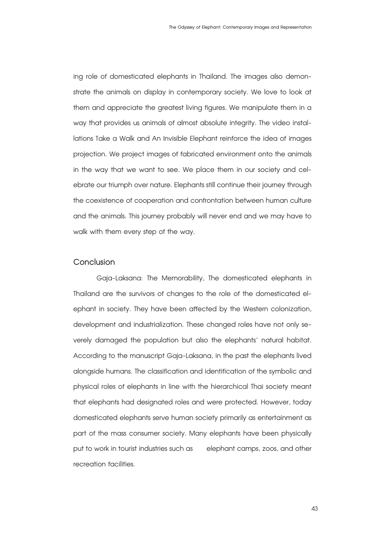ing role of domesticated elephants in Thailand. The images also demonstrate the animals on display in contemporary society. We love to look at them and appreciate the greatest living figures. We manipulate them in a way that provides us animals of almost absolute integrity. The video installations Take a Walk and An Invisible Elephant reinforce the idea of images projection. We project images of fabricated environment onto the animals in the way that we want to see. We place them in our society and celebrate our triumph over nature. Elephants still continue their journey through the coexistence of cooperation and confrontation between human culture and the animals. This journey probably will never end and we may have to walk with them every step of the way.

# **Conclusion**

 Gaja-Laksana: The Memorability, The domesticated elephants in Thailand are the survivors of changes to the role of the domesticated elephant in society. They have been affected by the Western colonization, development and industrialization. These changed roles have not only severely damaged the population but also the elephants' natural habitat. According to the manuscript Gaja-Laksana, in the past the elephants lived alongside humans. The classification and identification of the symbolic and physical roles of elephants in line with the hierarchical Thai society meant that elephants had designated roles and were protected. However, today domesticated elephants serve human society primarily as entertainment as part of the mass consumer society. Many elephants have been physically put to work in tourist industries such as elephant camps, zoos, and other recreation facilities.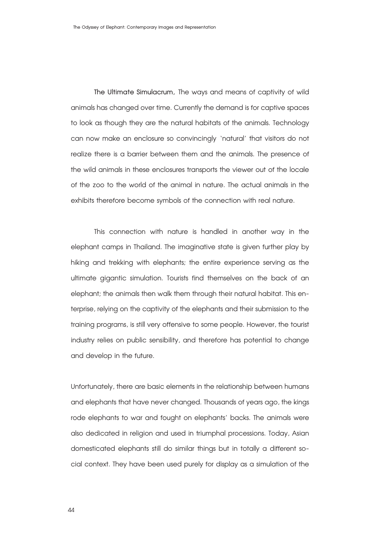**The Ultimate Simulacrum,** The ways and means of captivity of wild animals has changed over time. Currently the demand is for captive spaces to look as though they are the natural habitats of the animals. Technology can now make an enclosure so convincingly 'natural' that visitors do not realize there is a barrier between them and the animals. The presence of the wild animals in these enclosures transports the viewer out of the locale of the zoo to the world of the animal in nature. The actual animals in the exhibits therefore become symbols of the connection with real nature.

This connection with nature is handled in another way in the elephant camps in Thailand. The imaginative state is given further play by hiking and trekking with elephants; the entire experience serving as the ultimate gigantic simulation. Tourists find themselves on the back of an elephant; the animals then walk them through their natural habitat. This enterprise, relying on the captivity of the elephants and their submission to the training programs, is still very offensive to some people. However, the tourist industry relies on public sensibility, and therefore has potential to change and develop in the future.

Unfortunately, there are basic elements in the relationship between humans and elephants that have never changed. Thousands of years ago, the kings rode elephants to war and fought on elephants' backs. The animals were also dedicated in religion and used in triumphal processions. Today, Asian domesticated elephants still do similar things but in totally a different social context. They have been used purely for display as a simulation of the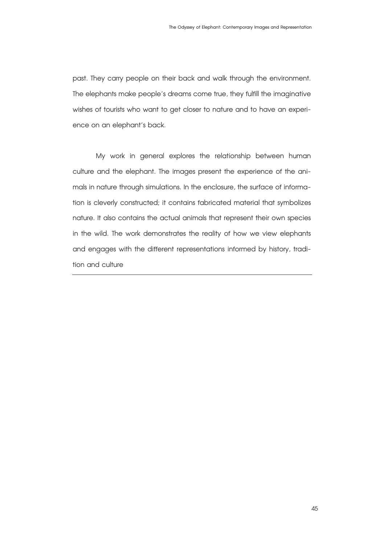past. They carry people on their back and walk through the environment. The elephants make people's dreams come true, they fulfill the imaginative wishes of tourists who want to get closer to nature and to have an experience on an elephant's back.

 My work in general explores the relationship between human culture and the elephant. The images present the experience of the animals in nature through simulations. In the enclosure, the surface of information is cleverly constructed; it contains fabricated material that symbolizes nature. It also contains the actual animals that represent their own species in the wild. The work demonstrates the reality of how we view elephants and engages with the different representations informed by history, tradition and culture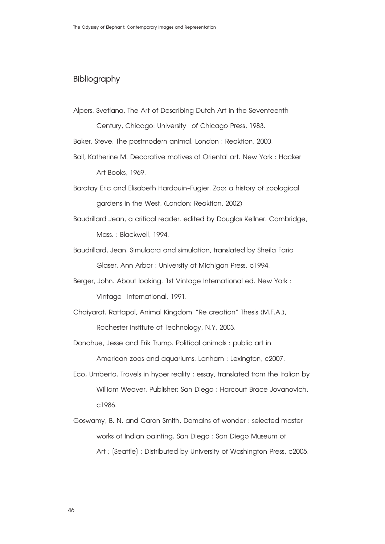# **Bibliography**

Alpers. Svetlana, The Art of Describing Dutch Art in the Seventeenth

 Century, Chicago: University of Chicago Press, 1983.

Baker, Steve. The postmodern animal. London : Reaktion, 2000.

Ball, Katherine M.Decorative motives of Oriental art.New York : Hacker Art Books, 1969.

Baratay Eric and Elisabeth Hardouin-Fugier. Zoo: a history of zoological gardens in the West, (London: Reaktion, 2002)

- Baudrillard Jean, a critical reader. edited by Douglas Kellner. Cambridge, Mass. : Blackwell, 1994.
- Baudrillard, Jean. Simulacra and simulation, translated by Sheila Faria Glaser.AnnArbor : University of Michigan Press, c1994.
- Berger, John. About looking. 1st Vintage International ed. New York : Vintage International, 1991.
- Chaiyarat. Rattapol,Animal Kingdom "Re creation" Thesis (M.F.A.), Rochester Institute of Technology, N.Y, 2003.
- Donahue, Jesse and Erik Trump. Political animals : public art in American zoos and aquariums. Lanham : Lexington, c2007.
- Eco, Umberto. Travels in hyper reality : essay, translated from the Italian by William Weaver. Publisher: San Diego : Harcourt Brace Jovanovich, c1986.
- Goswamy, B. N. and Caron Smith, Domains of wonder : selected master works of Indian painting. San Diego : San Diego Museum of Art ; [Seattle] : Distributed by University of Washington Press, c2005.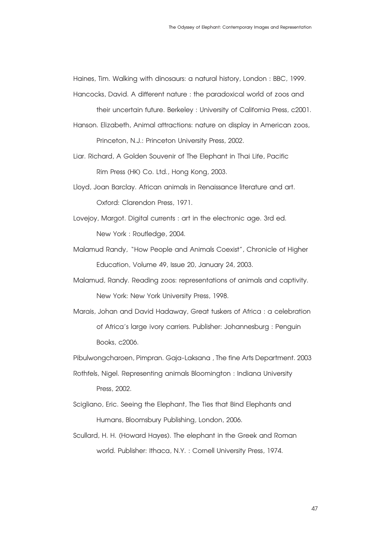Haines, Tim. Walking with dinosaurs: a natural history, London : BBC, 1999.

- Hancocks, David. A different nature : the paradoxical world of zoos and their uncertain future. Berkeley : University of California Press, c2001.
- Hanson. Elizabeth, Animal attractions: nature on display in American zoos, Princeton, N.J.: Princeton University Press, 2002.
- Liar. Richard, A Golden Souvenir of The Elephant in Thai Life, Pacific Rim Press (HK) Co. Ltd., Hong Kong, 2003.
- Lloyd, Joan Barclay.African animals in Renaissance literature and art. Oxford: Clarendon Press, 1971.
- Lovejoy, Margot. Digital currents : art in the electronic age. 3rd ed. New York : Routledge, 2004.
- Malamud Randy, "How People and Animals Coexist", Chronicle of Higher Education, Volume 49, Issue 20, January 24, 2003.
- Malamud, Randy. Reading zoos: representations of animals and captivity. New York: New York University Press, 1998.
- Marais, Johan and David Hadaway, Great tuskers of Africa : a celebration ofAfrica's large ivory carriers. Publisher: Johannesburg : Penguin Books, c2006.
- Pibulwongcharoen, Pimpran. Gaja-Laksana, The fine Arts Department. 2003
- Rothfels, Nigel. Representing animals Bloomington : Indiana University Press, 2002.
- Scigliano, Eric. Seeing the Elephant, The Ties that Bind Elephants and Humans, Bloomsbury Publishing, London, 2006.
- Scullard, H. H. (Howard Hayes). The elephant in the Greek and Roman world. Publisher: Ithaca,N.Y. : Cornell University Press, 1974.